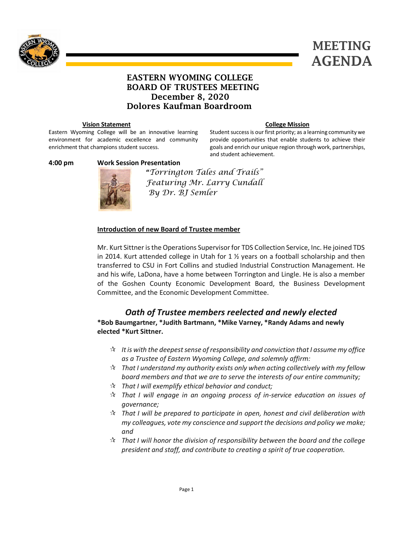



# EASTERN WYOMING COLLEGE BOARD OF TRUSTEES MEETING December 8, 2020 Dolores Kaufman Boardroom

#### **Vision Statement**

Eastern Wyoming College will be an innovative learning environment for academic excellence and community enrichment that champions student success.

#### **College Mission**

Student success is our first priority; as a learning community we provide opportunities that enable students to achieve their goals and enrich our unique region through work, partnerships, and student achievement.

#### **4:00 pm Work Session Presentation**



**"***Torrington Tales and Trails" Featuring Mr. Larry Cundall By Dr. BJ Semler*

#### **Introduction of new Board of Trustee member**

Mr. Kurt Sittner is the Operations Supervisor for TDS Collection Service, Inc. He joined TDS in 2014. Kurt attended college in Utah for  $1 \frac{1}{2}$  years on a football scholarship and then transferred to CSU in Fort Collins and studied Industrial Construction Management. He and his wife, LaDona, have a home between Torrington and Lingle. He is also a member of the Goshen County Economic Development Board, the Business Development Committee, and the Economic Development Committee.

# *Oath of Trustee members reelected and newly elected*

**\*Bob Baumgartner, \*Judith Bartmann, \*Mike Varney, \*Randy Adams and newly elected \*Kurt Sittner.**

- *It is with the deepest sense of responsibility and conviction that I assume my office as a Trustee of Eastern Wyoming College, and solemnly affirm:*
- *That I understand my authority exists only when acting collectively with my fellow board members and that we are to serve the interests of our entire community;*
- *That I will exemplify ethical behavior and conduct;*
- *That I will engage in an ongoing process of in-service education on issues of governance;*
- *That I will be prepared to participate in open, honest and civil deliberation with my colleagues, vote my conscience and support the decisions and policy we make; and*
- *That I will honor the division of responsibility between the board and the college president and staff, and contribute to creating a spirit of true cooperation.*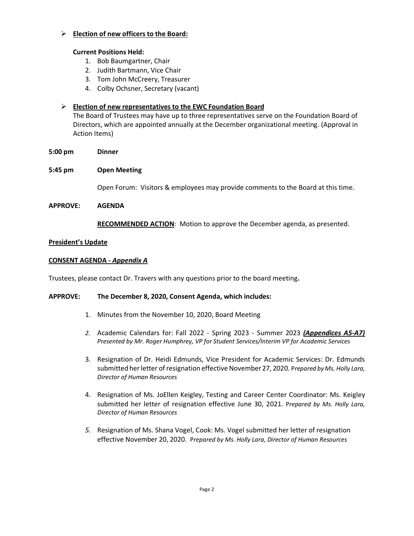## **Election of new officers to the Board:**

#### **Current Positions Held:**

- 1. Bob Baumgartner, Chair
- 2. Judith Bartmann, Vice Chair
- 3. Tom John McCreery, Treasurer
- 4. Colby Ochsner, Secretary (vacant)

## **Election of new representatives to the EWC Foundation Board**

The Board of Trustees may have up to three representatives serve on the Foundation Board of Directors, which are appointed annually at the December organizational meeting. (Approval in Action Items)

- **5:00 pm Dinner**
- **5:45 pm Open Meeting**

Open Forum: Visitors & employees may provide comments to the Board at this time.

#### **APPROVE: AGENDA**

**RECOMMENDED ACTION**: Motion to approve the December agenda, as presented.

#### **President's Update**

#### **CONSENT AGENDA -** *Appendix A*

Trustees, please contact Dr. Travers with any questions prior to the board meeting**.**

#### **APPROVE: The December 8, 2020, Consent Agenda, which includes:**

- 1. Minutes from the November 10, 2020, Board Meeting
- *2.* Academic Calendars for: Fall 2022 Spring 2023 Summer 2023 *(Appendices A5-A7) Presented by Mr. Roger Humphrey, VP for Student Services/Interim VP for Academic Services*
- 3. Resignation of Dr. Heidi Edmunds, Vice President for Academic Services: Dr. Edmunds submitted her letter of resignation effective November 27, 2020. P*repared by Ms. Holly Lara, Director of Human Resources*
- 4. Resignation of Ms. JoEllen Keigley, Testing and Career Center Coordinator: Ms. Keigley submitted her letter of resignation effective June 30, 2021. P*repared by Ms. Holly Lara, Director of Human Resources*
- *5.* Resignation of Ms. Shana Vogel, Cook: Ms. Vogel submitted her letter of resignation effective November 20, 2020. P*repared by Ms. Holly Lara, Director of Human Resources*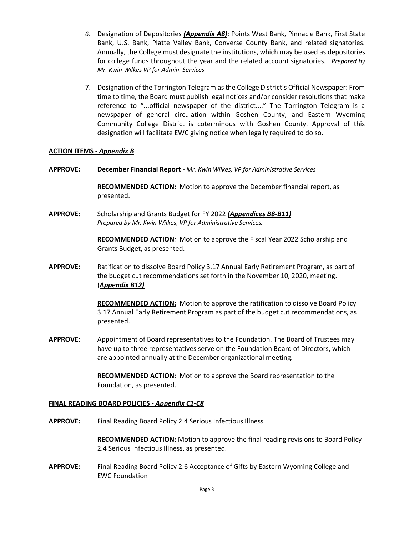- *6.* Designation of Depositories *(Appendix A8)*: Points West Bank, Pinnacle Bank, First State Bank, U.S. Bank, Platte Valley Bank, Converse County Bank, and related signatories. Annually, the College must designate the institutions, which may be used as depositories for college funds throughout the year and the related account signatories. *Prepared by Mr. Kwin Wilkes VP for Admin. Services*
- 7. Designation of the Torrington Telegram as the College District's Official Newspaper: From time to time, the Board must publish legal notices and/or consider resolutions that make reference to "...official newspaper of the district...." The Torrington Telegram is a newspaper of general circulation within Goshen County, and Eastern Wyoming Community College District is coterminous with Goshen County. Approval of this designation will facilitate EWC giving notice when legally required to do so.

#### **ACTION ITEMS -** *Appendix B*

**APPROVE: December Financial Report** *- Mr. Kwin Wilkes, VP for Administrative Services*

**RECOMMENDED ACTION:** Motion to approve the December financial report, as presented.

**APPROVE:** Scholarship and Grants Budget for FY 2022 *(Appendices B8-B11) Prepared by Mr. Kwin Wilkes, VP for Administrative Services.*

> **RECOMMENDED ACTION***:* Motion to approve the Fiscal Year 2022 Scholarship and Grants Budget, as presented.

**APPROVE:** Ratification to dissolve Board Policy 3.17 Annual Early Retirement Program, as part of the budget cut recommendations set forth in the November 10, 2020, meeting. (*Appendix B12)*

> **RECOMMENDED ACTION:** Motion to approve the ratification to dissolve Board Policy 3.17 Annual Early Retirement Program as part of the budget cut recommendations, as presented.

**APPROVE:** Appointment of Board representatives to the Foundation. The Board of Trustees may have up to three representatives serve on the Foundation Board of Directors, which are appointed annually at the December organizational meeting.

> **RECOMMENDED ACTION**: Motion to approve the Board representation to the Foundation, as presented.

#### **FINAL READING BOARD POLICIES -** *Appendix C1-C8*

**APPROVE:** Final Reading Board Policy 2.4 Serious Infectious Illness

**RECOMMENDED ACTION:** Motion to approve the final reading revisions to Board Policy 2.4 Serious Infectious Illness, as presented.

**APPROVE:** Final Reading Board Policy 2.6 Acceptance of Gifts by Eastern Wyoming College and EWC Foundation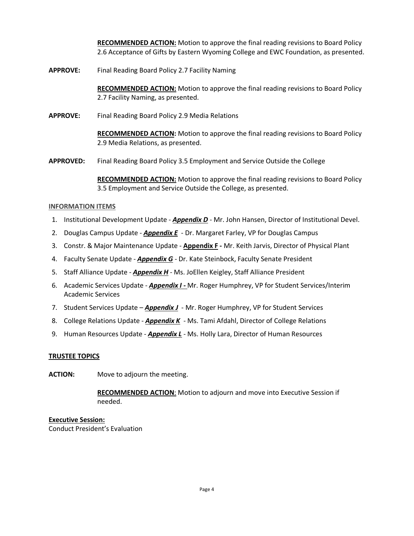**RECOMMENDED ACTION:** Motion to approve the final reading revisions to Board Policy 2.6 Acceptance of Gifts by Eastern Wyoming College and EWC Foundation, as presented.

**APPROVE:** Final Reading Board Policy 2.7 Facility Naming

**RECOMMENDED ACTION:** Motion to approve the final reading revisions to Board Policy 2.7 Facility Naming, as presented.

**APPROVE:** Final Reading Board Policy 2.9 Media Relations

**RECOMMENDED ACTION:** Motion to approve the final reading revisions to Board Policy 2.9 Media Relations, as presented.

**APPROVED:** Final Reading Board Policy 3.5 Employment and Service Outside the College

**RECOMMENDED ACTION:** Motion to approve the final reading revisions to Board Policy 3.5 Employment and Service Outside the College, as presented.

#### **INFORMATION ITEMS**

- 1. Institutional Development Update *Appendix D* Mr. John Hansen, Director of Institutional Devel.
- 2. Douglas Campus Update *Appendix E* Dr. Margaret Farley, VP for Douglas Campus
- 3. Constr. & Major Maintenance Update **Appendix F -** Mr. Keith Jarvis, Director of Physical Plant
- 4. Faculty Senate Update *Appendix G -* Dr. Kate Steinbock, Faculty Senate President
- 5. Staff Alliance Update *Appendix H* Ms. JoEllen Keigley, Staff Alliance President
- 6. Academic Services Update *Appendix I -* Mr. Roger Humphrey, VP for Student Services/Interim Academic Services
- 7. Student Services Update *Appendix J* Mr. Roger Humphrey, VP for Student Services
- 8. College Relations Update *Appendix K* Ms. Tami Afdahl, Director of College Relations
- 9. Human Resources Update *Appendix L* Ms. Holly Lara, Director of Human Resources

### **TRUSTEE TOPICS**

**ACTION:** Move to adjourn the meeting.

**RECOMMENDED ACTION**: Motion to adjourn and move into Executive Session if needed.

# **Executive Session:**

Conduct President's Evaluation